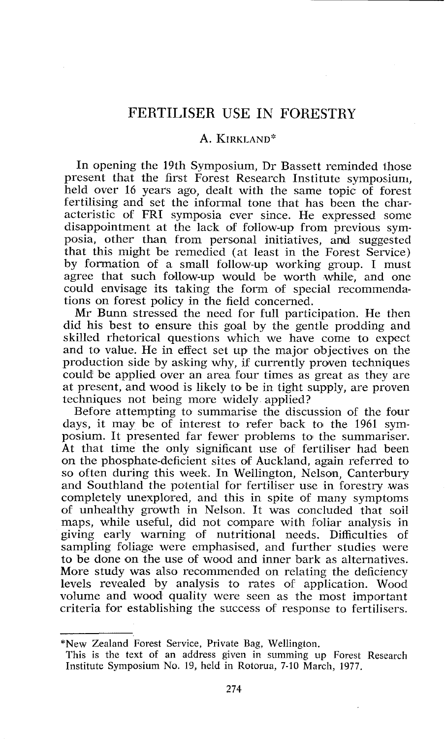## FERTILISER USE IN FORESTRY

## A. KIRKLAND\*

In opening the 19th Symposium, Dr Bassett reminded ihose present that the first Forest Research Institute symposium, held over 16 years ago, dealt with the same topic of forest fertilising and set the informal tone that has been the characteristic of FRI symposia ever since. He expressed some disappointment at the lack of follow-up from previous symposia, other than from personal initiatives, and suggested that this might be remedied (at least in the Forest Service) by formation of a small follow-up working group. I must agree that such follow-up would be worth while, and one could envisage its taking the form of special recommendations on forest policy in the field concerned.

Mr Bunn stressed the need for full participation. He then did his best to ensure this goal by the gentle prodding and skilled rhetorical questions which we have come to expect and to value. He in effect set up the major objectives on the production side by asking why, if currently proven techniques could be applied over an area four times as great as they are at present, and wood is likely to be in tight supply, are proven techniques not being more widely applied?

Before attempting to summarise the discussion of the four days, it may be of interest to refer back to the 1961 symposium. It presented far fewer problems to the summariser. At that time the only significant use of fertiliser had been on the phosphate-deficient sites of Auckland, again referred to so often during this week. In Wellington, Nelson, Canterbury and Southland the potential for ferijliser use in forestry was completely unexplored, and this in spite of many symptoms of unhealthy growth in Nelson. It was concluded that soil maps, while useful, did not compare with foliar analysis in giving early warning of nutritional needs. Difficulties of sampling foliage were emphasised, and further studies were to be done on the use of wood and inner bark as alternatives. More study was also recommended on relating the deficiency levels revealed by analysis to rates of application. Wood volume and wood quality were seen as the most important criteria for establishing the success of response to fertilisers.

\*New Zealand Forest Service, Private Bag, Wellington.

This is the text of an address given in summing up Forest Research Institute Symposium No. 19, held in Rotorua, 7-10 March, 1977.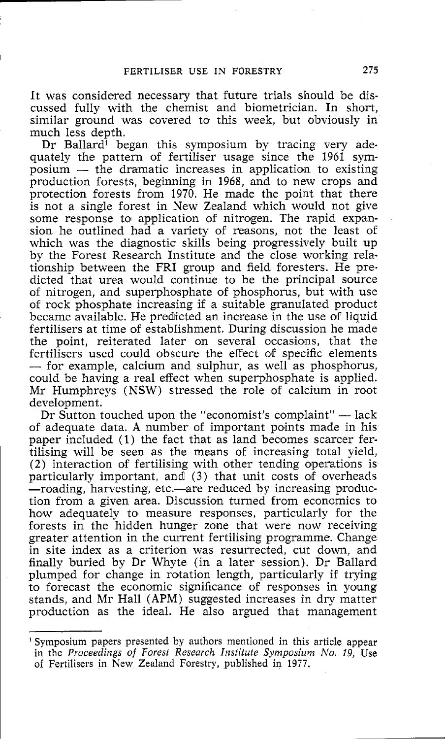It was considered necessary that future trials should be discussed fully with the chemist and biometrician. In short, similar ground was covered to this week, but obviously in much less depth.

Dr Ballard<sup>1</sup> began this symposium by tracing very adequately the pattern of fertiliser usage since the 1961 sym-Dr Ballard<sup>1</sup> began this symposium by tracing very ade-<br>quately the pattern of fertiliser usage since the 1961 sym-<br>posium — the dramatic increases in application to existing<br>production forests beginning in 1968 and to new production forests, beginning in 1968, and to new crops and protection forests from 1970. He made the point that there is not a single forest in New Zealand which would not give some response to application of nitrogen. The rapid expansion he outlined had a variety of reasons, not the least of which was the diagnostic skills being progressively built up by the Forest Research Institute and the close working relationship between the FRI group and field foresters. He predicted that urea would continue to be the principal source of nitrogen, and superphosphate of phosphorus, but with use of rock phosphate increasing if a suitable granulated product became available. He predicted an increase in the use of liquid fertilisers at time of establishment. During discussion he made the point, reiterated later on several occasions, that the fertilisers used could obscure the effect of specific elements - for example, calcium and sulphur, as well as phosphorus, could be having a real effect when superphosphate is applied. Mr Humphreys (NSW) stressed the role of calcium in root development.

Dr Sutton touched upon the "economist's complaint"  $-$  lack of adequate data. **A** number of important points made in his paper included (1) the fact that as land becomes scarcer fertilising will be seen as the means of increasing total yield, (2) interaction of fertilising with other tending operations is particularly important, and (3) that unit costs of overheads -roading, harvesting, etc.-are reduced by increasing production from a given area. Discussion turned from economics to how adequately to measure responses, particularly for the forests in the hidden hunger zone that were now receiving greater attention in the current fertilising programme. Change in site index as a criterion was resurrected, cut down, and finally buried by Dr Whyte (in a later session). Dr Ballard plumped for change in rotation length, particularly if trying to forecast the economic significance of responses in young stands, and Mr Hall (APM) suggested increases in dry matter production as the ideal. He also argued that management

<sup>&#</sup>x27; Symposium papers presented by authors mentioned in this article appear in the *Proceedings of Forest Research Inslitufe Symposium No. 19,* Use of Fertilisers in New Zealand Forestry, published in 1977.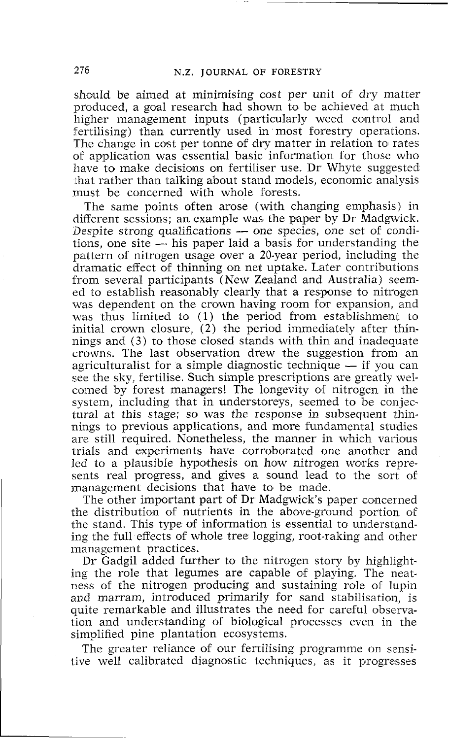should be aimed at minimising cost per unit of dry matter produced, a goal research had shown to be achieved at much higher management inputs (particularly weed control and fertilising) than currently used in most forestry operations. The change in cost per tonne of dry matter in relation to rates of application was essential basic information for those who have to make decisions on fertiliser use. Dr Whyte suggested shat rather than talking about stand models, economic analysis must be concerned with whole forests.

The same points often arose (with changing emphasis) in different sessions; an example was the paper by Dr Madgwick. The same points often arose (with changing emphasis) in<br>different sessions; an example was the paper by Dr Madgwick.<br>Despite strong qualifications - one species, one set of condi-<br>tions one site is bis paper loid a basis f different sessions; an example was the paper by Dr Madgwick.<br>Despite strong qualifications — one species, one set of condi-<br>tions, one site — his paper laid a basis for understanding the<br>nottern of nitrogen usage over a 2 pattern of nitrogen usage over a 20-year period, including the dramatic effect of thinning on net uptake. Later contributions from several participants (New Zealand and Australia) seemed to establish reasonably clearly that a response to nitrogen was dependent on the crown having room for expansion, and was thus limited to  $(1)$  the period from establishment to initial crown closure, (2) the period immediately after thinnings and (3) to those closed stands with thin and inadequate crowns. The last observation drew the suggestion from an agriculturalist for a simple diagnostic technique  $-$  if you can see the sky, fertilise. Such simple prescriptions are greatly welcomed by forest managers! The longevity of nitrogen in the system, including that in understoreys, seemed to be conjectural at this stage; so was the response in subsequent thinnings to previous applications, and more fundamental studies are still required. Nonetheless, the manner in which various trials and experiments have corroborated one another and led to a plausible hypothesis on how nitrogen works represents real progress, and gives a sound lead to the sort of management decisions that have to be made.

The other important part of Dr Madgwick's paper concerned the distribution of nutrients in the above-ground portion of the stand. This type of information is essential to understanding the full effects of whole tree logging, root-raking and other management practices.

Dr Gadgil added further to the nitrogen story by highlighting the role that legumes are capable of playing. The neatness of the nitrogen producing and sustaining role of lupin and marram, introduced primarily for sand stabilisation, is quite remarkable and illustrates the need for careful observation and understanding of biological processes even in the simplified pine plantation ecosystems.

The greater reliance of our fertilising programme on sensitive well calibrated diagnostic techniques, as it progresses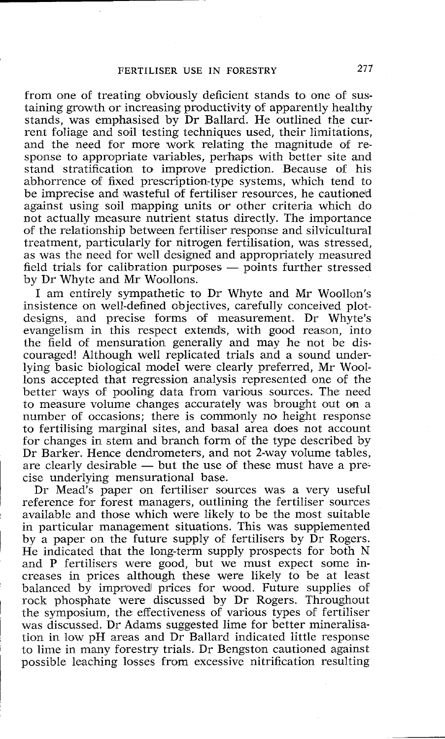## FERTILISER USE IN FORESTRY **277**

from one of treating obviously deficient stands to one of sustaining growth or increasing productivity of apparently healthy stands, was emphasised by Dr Ballard. He outlined the current foliage and soil testing techniques used, their limitations, and the need for more work relating the magnitude of response to appropriate variables, perhaps with better site and stand stratification to improve prediction. Because of his abhorrence of fixed prescription-type systems, which tend to be imprecise and wasteful of fertiliser resources, he cautioned against using soil mapping units or other criteria which do not actually measure nutrient status directly. The importance of the relationship between fertiliser response and silvicultural treatment, particularly for nitrogen fertilisation, was stressed, as was the need for well designed and appropriately measured field trials for calibration purposes  $-$  points further stressed by Dr Whyte and Mr Woollons.

I am entirely sympathetic to Dr Whyte and Mr Woollon's insistence on well-defined objectives, carefully conceived plotdesigns, and precise forms of measurement, Dr Whyte's evangelism in this respect extends, with good reason, into the field of mensuration generally and may he not be discouraged! Although well replicated trials and a sound underlying basic biological model were clearly preferred, Mr Woollons accepted that regression analysis represented one of the better ways of pooling data from various sources. The need to measure volume changes accurately was brought out on a number of occasions; there is commonly no height response to fertilising marginal sites, and basal area does not account for changes in stem and branch form of the type described by Dr Barker. Hence dendrometers, and not 2-way volume tables, for changes in stem and branch form of the type described by<br>Dr Barker. Hence dendrometers, and not 2-way volume tables,<br>are clearly desirable — but the use of these must have a pre-<br>cise underlying monourational base. cise underlying mensurational base.

Dr Mead's paper on fertiliser sources was a very usefuI reference for forest managers, outlining the fertiliser sources available and those which were likely to be the most suitable in particular management situations. This was supplemented by a paper on the future supply of fertilisers by  $\overline{D}r$  Rogers. He indicated that the long-term supply prospects for both N and P fertilisers were good, but we must expect some increases in prices although these were likely to be at least balanced by improved prices for wood. Future supplies of rock phosphate were discussed by Dr Rogers. Throughout the symposium, the effectiveness of various types of fertiliser was discussed. Dr Adams suggested lime for better mineralisation in low pH areas and Dr Ballard indicated little response to lime in many fofrestry trials. Dr Bengston cautioned against possible leaching losses from excessive nitrification resulting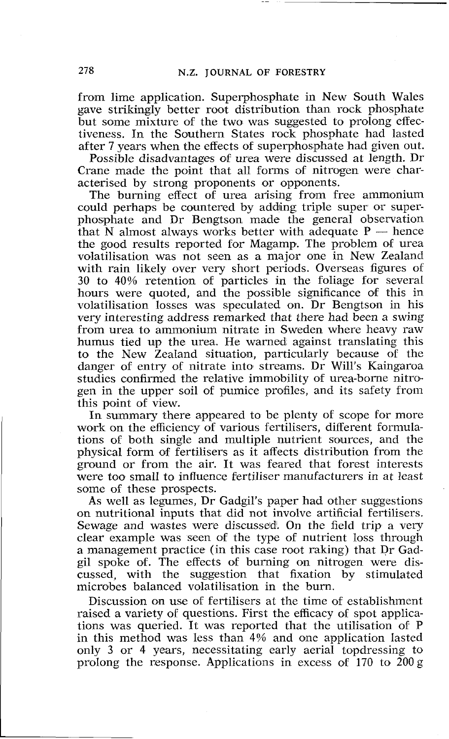from lime application. Superphosphate in New South Wales gave strikingly better root distribution than rock phosphate but some mixture of the two was suggested to prolong effectiveness. In the Southern States rock phosphate had lasted after 7 years when the effects of superphosphate had given out.

Possible disadvantages of urea were discussed at length. Dr Crane made the point that all forms of nitrogen were characterised by strong proponents or opponents.

The burning effect of urea arising from free ammonium could perhaps be countered by adding triple super or superphosphate and Dr Bengtson made the general observation could perhaps be countered by adding triple super or super-<br>phosphate and Dr Bengtson made the general observation<br>that N almost always works better with adequate P - hence<br>the good results reported for Megamp. The problem the good results reported for Magamp. The problem of urea volatilisation was not seen as a major one in New Zealand with rain likely over very short periods. Overseas figures of 30 to 40% retention of particles in the foliage for several hours were quoted, and the possible significance of this in volatilisation losses was speculated on. Dr Bengtson in his very interesting address remarked that there had been a swing from urea to ammonium nitrate in Sweden where heavy raw humus tied up the urea. He warned against translating this to the New Zealand situation, particularly because of the danger of entry of nitrate into streams. Dr Will's Kaingaroa studies confirmed the relative immobility of urea-borne nitrogen in the upper soil of pumice profiles, and its safety from this point of view.

In summary there appeared to be plenty of scope for more work on the efficiency of various fertilisers, different formulations of both single and multiple nutrient sources, and the physical form of fertilisers as it affects distribution from the ground or from the air. It was feared that forest interests were too small to influence fertiliser manufacturers in at least some of these prospects.

As well as legumes, Dr Gadgil's paper had other suggestions on nutritional inputs that did not involve artificial fertilisers. Sewage and wastes were discussed. On the field trip a very clear example was seen of the type of nutrient loss through a management practice (in this case root raking) that Dr Gadgil spoke of. The effects of burning on nitrogen were discussed, with the suggestion that fixation by stimulated microbes balanced volatilisation in the burn.

Discussion on use of fertilisers at the time of establishment raised a variety of questions. First the efficacy of spot applications was queried. It was reported that the utilisation of P in this method was less than 4% and one application lasted only 3 or 4 years, necessitating early aerial topdressing to prolong the response. Applications in excess of 170 to 200 g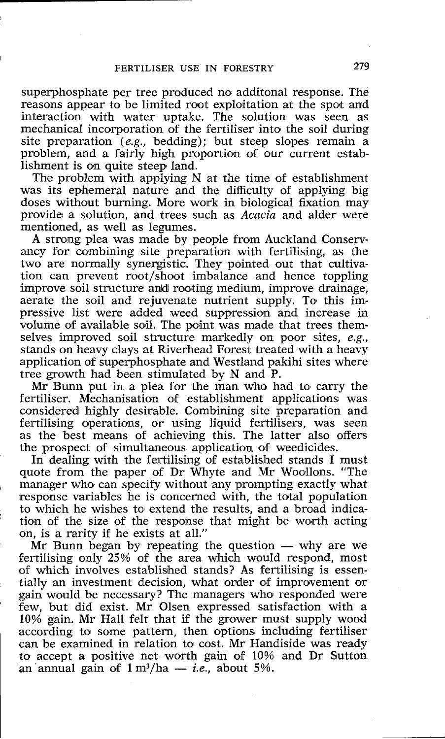superphosphate per tree produced no additonal response. The reasons appear to be limited root exploitation at the spot and interaction with water uptake. The solution was seen as mechanical incorporation of the fertiliser into the soil during site preparation (e.g., bedding); but steep slopes remain a problem, and a fairly high proportion of our current establishment is on quite steep land.

The problem with applying N at the time of establishment was its ephemeral nature and the difficulty of applying big doses without burning. More work in biological fixation may provide a solution, and trees such as Acacia and alder were mentioned, as well as legumes.

A strong plea was made by people from Auckland Conservancy for combining site preparation with fertilising, as the two are normally synergistic. They pointed out that cultivation can prevent root/shoot imbalance and hence toppling improve soil structure and rooting medium, improve drainage, aerate the soil and rejuvenate nutrient supply. To this impressive list were added weed suppression and increase in volume of available soil. The point was made that trees themselves improved soil structure markedly on poor sites, e.g., stands on heavy clays at Riverhead Forest treated with a heavy application of superphosphate and Westland pakihi sites where tree growth had been stimulated by N and P.

Mr Bunn put in a plea for the man who had to carry the fertiliser. Mechanisation of establishment applications was considered highly desirable. Combining site preparation and fertilising operations, or using liquid fertilisers, was seen as the best means of achieving this. The latter also offers the prospect of simultaneous application of weedicides.

In dealing with the fertilising of established stands I must quote from the paper of Dr Whyte and Mr Woollens. "The manager who can specify without any prompting exactly what response variables he is concerned with, the total population to which he wishes to extend the results, and a broad indication of the size of the response that might be worth acting on, is a rarity if he exists at all."

Mr Bunn began by repeating the question  $-$  why are we fertilising only 25% of the area which would respond, most of which involves established stands? As fertilising is essentially an investment decision, what order of improvement or gain would be necessary? The managers who responded were few, but did exist. Mr Olsen expressed satisfaction with a 10% gain. Mr Hall felt that if the grower must supply wood according to some pattern, then options including fertiliser can be examined in relation to cost. Mr Handiside was ready to accept a positive net worth gain of 10% and Dr Sutton an annual gain of  $1 \text{ m}^3/\text{ha} - i.e.,$  about 5%.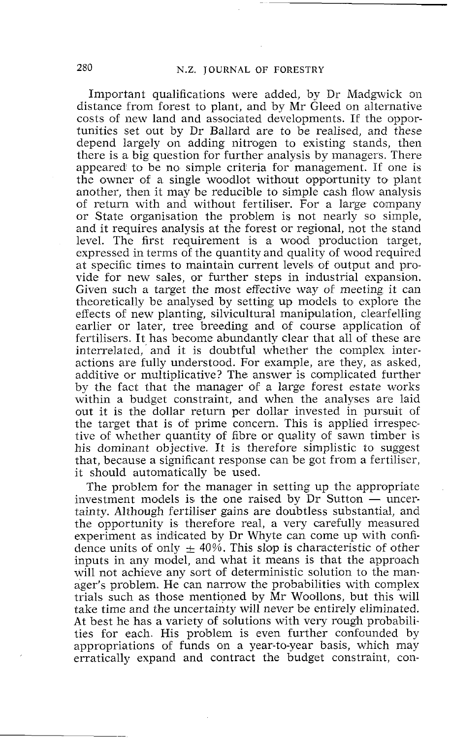Important qualifications were added, by Dr Madgwick on distance from forest to plant, and by Mr Gleed on alternative costs of new land and associated developments. If the opportunities set out by Dr Ballard are to be realised, and these depend largely on adding nitrogen to existing stands, then there is a big question for further analysis by managers. There appeared to be no simple criteria for management. If one is the owner of a single woodlot without opportunity to plant another, then it may be reducible to simple cash flow analysis of return with and without fertiliser. For a large company or State organisation the problem is not nearly so simple, and it requires analysis at the forest or regional, not the stand level. The first requirement is a wood production target, expressed in terms of the quantity and quality of wood required at specific times to maintain current levels of output and provide for new sales, or further steps in industrial expansion. Given such a target the most effective way of meeting it can theoretically be analysed by setting up models to explore the effects of new planting, silvicultural manipulation, clearfelling earlier or later, tree breeding and of course application of fertilisers. It has become abundantly clear that all of these are interrelated, and it is doubtful whether the complex interactions are fully understood. For example, are they, as asked, additive or multiplicative? The answer is complicated further by the fact that the manager of a large forest estate works within a budget constraint, and when the analyses are laid out it is the dollar return per dollar invested in pursuit of the target that is of prime concern. This is applied irrespective of whether quantity of fibre or quality of sawn timber is his dominant objective. It is therefore simplistic to suggest that, because a significant response can be got from a fertiliser, it should automatically be used.

The problem for the manager in setting up the appropriate it should automatically be used.<br>The problem for the manager in setting up the appropriate<br>investment models is the one raised by Dr Sutton — uncer-<br>teinty Although fertiliser gains are doubtless substantial, and tainty. Although fertiliser gains are doubtless substantial, and the opportunity is therefore real, a very carefully measured experiment as indicated by Dr Whyte can come up with confidence units of only  $\pm$  40%. This slop is characteristic of other inputs in any model, and what it means is that the approach will not achieve any sort of deterministic solution to the manager's problem. He can narrow the probabilities with complex trials such as those mentioned by Mr Woollons, but this will take time and the uncertainty will never be entirely eliminated. At best he has a variety of solutions with very rough probabilities for each. His problem is even further confounded by appropriations of funds on a year-to-year basis, which may erratically expand and contract the budget constraint, con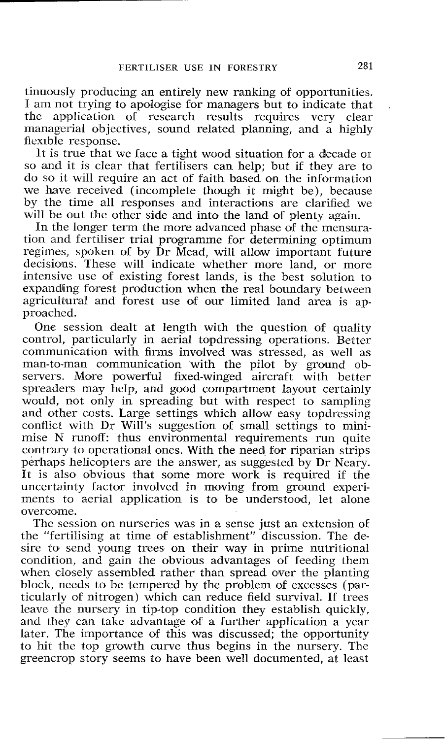tinuously producing an entirely new ranking of opportunities. I am not trying to apologise for managers but to indicate that<br>the application of research results requires very clear application of research results requires very clear managerial objectives, sound related planning, and a highly flexible response.

It is true that we face a tight wood situation for a decade or so and it is clear that fertilisers can help; but if they are to do so it will require an act of faith based on the information we have received (incomplete though it might be), because by the time all responses and interactions are clarified we will be out the other side and into the land of plenty again.

In the longer term the more advanced phase of the mensuration and fertiliser trial programme for determining optimum regimes, spoken of by Dr Mead, will allow important future decisions. These will indicate whether more land, or more intensive use of existing forest lands, is the best solution to expanding forest production when the real boundary between agricultural and forest use of our limited land area is approached.

One session dealt at length with the question of quality control, particularly in aerial topdressing operations. Better communication with firms involved was stressed, as well as man-to-man communication with the pilot by ground observers. More powerful fixed-winged aircraft with better spreaders may help, and good compartment layout certainly would, not only in spreading but with respect to sampling and other costs. Large settings which allow easy topdressing conflict with Dr Will's suggestion of small settings to minimise N runoff: thus environmental requirements run quite contrary to operational ones. With the need for riparian strips perhaps helicopters are the answer, as suggested by Dr Neary. It is also obvious that some more work is required if the uncertainty factor involved in moving from ground experiments to aerial application is to be understood, let alone overcome.

The session on nurseries was in a sense just an extension of the "fertilising at time of establishment" discussion. The desire to send young trees on their way in prime nutritional condition, and gain the obvious advantages of feeding them when closely assembled rather than spread over the planting block, needs to be tempered by the problem of excesses (particularly of nitrogen) which can reduce field survival. If trees leave the nursery in tip-top condition they establish quickly, and they can take advantage of a further application a year later. The importance of this was discussed; the opportunity to hit the top growth curve thus begins in the nursery. The greencrop story seems to have been well documented, at least